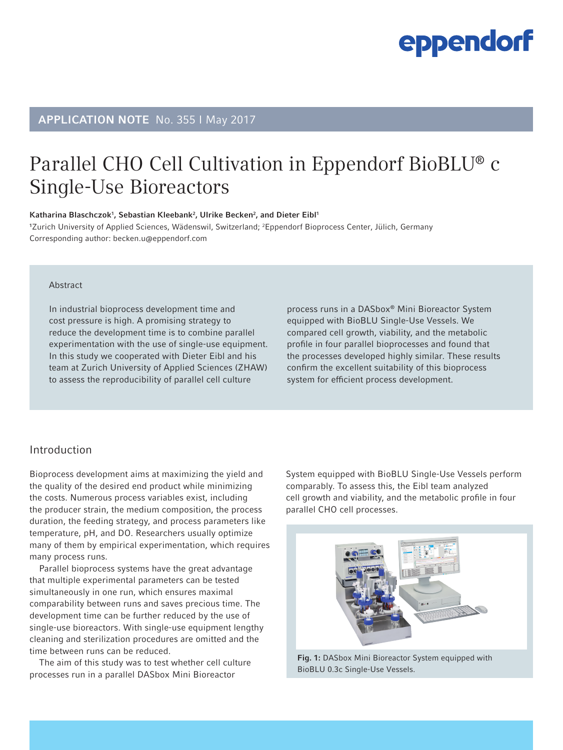### APPLICATION NOTE No. 355 I May 2017

### Parallel CHO Cell Cultivation in Eppendorf BioBLU® c Single-Use Bioreactors

Katharina Blaschczok<sup>1</sup>, Sebastian Kleebank<sup>2</sup>, Ulrike Becken<sup>2</sup>, and Dieter Eibl<sup>1</sup>

1 Zurich University of Applied Sciences, Wädenswil, Switzerland; 2 Eppendorf Bioprocess Center, Jülich, Germany Corresponding author: becken.u@eppendorf.com

#### Abstract

In industrial bioprocess development time and cost pressure is high. A promising strategy to reduce the development time is to combine parallel experimentation with the use of single-use equipment. In this study we cooperated with Dieter Eibl and his team at Zurich University of Applied Sciences (ZHAW) to assess the reproducibility of parallel cell culture

process runs in a DASbox® Mini Bioreactor System equipped with BioBLU Single-Use Vessels. We compared cell growth, viability, and the metabolic profile in four parallel bioprocesses and found that the processes developed highly similar. These results confirm the excellent suitability of this bioprocess system for efficient process development.

#### Introduction

Bioprocess development aims at maximizing the yield and the quality of the desired end product while minimizing the costs. Numerous process variables exist, including the producer strain, the medium composition, the process duration, the feeding strategy, and process parameters like temperature, pH, and DO. Researchers usually optimize many of them by empirical experimentation, which requires many process runs.

Parallel bioprocess systems have the great advantage that multiple experimental parameters can be tested simultaneously in one run, which ensures maximal comparability between runs and saves precious time. The development time can be further reduced by the use of single-use bioreactors. With single-use equipment lengthy cleaning and sterilization procedures are omitted and the time between runs can be reduced.

The aim of this study was to test whether cell culture processes run in a parallel DASbox Mini Bioreactor

System equipped with BioBLU Single-Use Vessels perform comparably. To assess this, the Eibl team analyzed cell growth and viability, and the metabolic profile in four parallel CHO cell processes.



Fig. 1: DASbox Mini Bioreactor System equipped with BioBLU 0.3c Single-Use Vessels.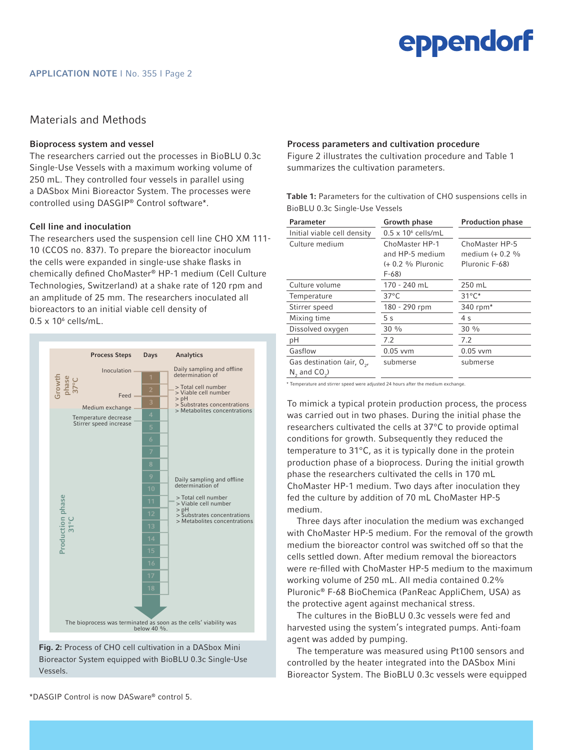### Materials and Methods

#### Bioprocess system and vessel

The researchers carried out the processes in BioBLU 0.3c Single-Use Vessels with a maximum working volume of 250 mL. They controlled four vessels in parallel using a DASbox Mini Bioreactor System. The processes were controlled using DASGIP® Control software\*.

#### Cell line and inoculation

The researchers used the suspension cell line CHO XM 111- 10 (CCOS no. 837). To prepare the bioreactor inoculum the cells were expanded in single-use shake flasks in chemically defined ChoMaster® HP-1 medium (Cell Culture Technologies, Switzerland) at a shake rate of 120 rpm and an amplitude of 25 mm. The researchers inoculated all bioreactors to an initial viable cell density of  $0.5 \times 10^6$  cells/mL.





Process parameters and cultivation procedure

Figure 2 illustrates the cultivation procedure and Table 1 summarizes the cultivation parameters.

Table 1: Parameters for the cultivation of CHO suspensions cells in BioBLU 0.3c Single-Use Vessels

| Parameter                                                  | Growth phase                                                      | <b>Production phase</b>                             |
|------------------------------------------------------------|-------------------------------------------------------------------|-----------------------------------------------------|
| Initial viable cell density                                | $0.5 \times 10^6$ cells/mL                                        |                                                     |
| Culture medium                                             | ChoMaster HP-1<br>and HP-5 medium<br>$(+ 0.2 %$ Pluronic<br>F-68) | ChoMaster HP-5<br>medium (+ 0.2 %<br>Pluronic F-68) |
| Culture volume                                             | 170 - 240 mL                                                      | 250 mL                                              |
| Temperature                                                | $37^{\circ}$ C                                                    | $31^{\circ}$ C*                                     |
| Stirrer speed                                              | 180 - 290 rpm                                                     | 340 rpm*                                            |
| Mixing time                                                | 5 <sub>s</sub>                                                    | 4 <sub>s</sub>                                      |
| Dissolved oxygen                                           | $30\%$                                                            | $30\%$                                              |
| pH                                                         | 7.2                                                               | 7.2                                                 |
| Gasflow                                                    | $0.05$ vvm                                                        | $0.05$ vvm                                          |
| Gas destination (air, $O_{\alpha}$ ,<br>$N_2$ and $CO_2$ ) | submerse                                                          | submerse                                            |

\* Temperature and stirrer speed were adjusted 24 hours after the medium exchange.

To mimick a typical protein production process, the process was carried out in two phases. During the initial phase the researchers cultivated the cells at 37°C to provide optimal conditions for growth. Subsequently they reduced the temperature to 31°C, as it is typically done in the protein production phase of a bioprocess. During the initial growth phase the researchers cultivated the cells in 170 mL ChoMaster HP-1 medium. Two days after inoculation they fed the culture by addition of 70 mL ChoMaster HP-5 medium.

Three days after inoculation the medium was exchanged with ChoMaster HP-5 medium. For the removal of the growth medium the bioreactor control was switched off so that the cells settled down. After medium removal the bioreactors were re-filled with ChoMaster HP-5 medium to the maximum working volume of 250 mL. All media contained 0.2% Pluronic® F-68 BioChemica (PanReac AppliChem, USA) as the protective agent against mechanical stress.

The cultures in the BioBLU 0.3c vessels were fed and harvested using the system's integrated pumps. Anti-foam agent was added by pumping.

The temperature was measured using Pt100 sensors and controlled by the heater integrated into the DASbox Mini Bioreactor System. The BioBLU 0.3c vessels were equipped

\*DASGIP Control is now DASware® control 5.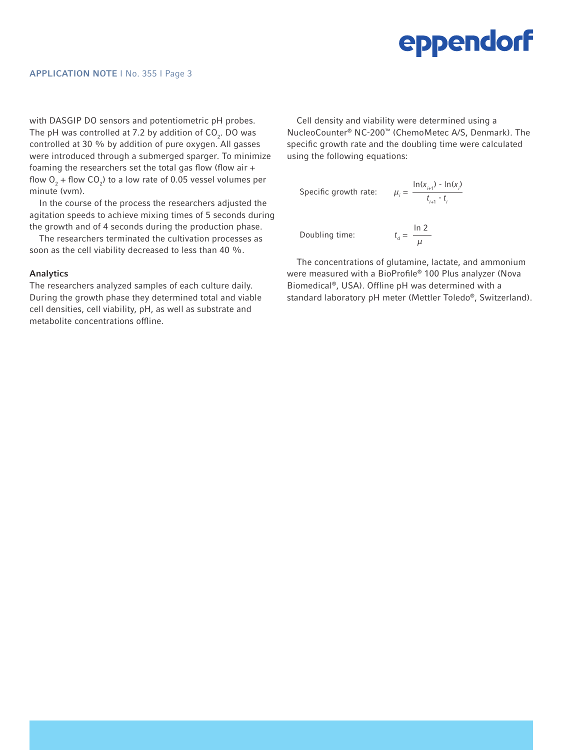with DASGIP DO sensors and potentiometric pH probes. The pH was controlled at 7.2 by addition of CO $_{\textrm{\tiny{2}}}$ . DO was controlled at 30 % by addition of pure oxygen. All gasses were introduced through a submerged sparger. To minimize foaming the researchers set the total gas flow (flow air + flow  $O_2$  + flow CO<sub>2</sub>) to a low rate of 0.05 vessel volumes per minute (vvm).

In the course of the process the researchers adjusted the agitation speeds to achieve mixing times of 5 seconds during the growth and of 4 seconds during the production phase.

The researchers terminated the cultivation processes as soon as the cell viability decreased to less than 40 %.

#### Analytics

The researchers analyzed samples of each culture daily. During the growth phase they determined total and viable cell densities, cell viability, pH, as well as substrate and metabolite concentrations offline.

Cell density and viability were determined using a NucleoCounter® NC-200™ (ChemoMetec A/S, Denmark). The specific growth rate and the doubling time were calculated using the following equations:

Specific growth rate: 
$$
\mu_i = \frac{\ln(x_{i+1}) - \ln(x_i)}{t_{i+1} - t_i}
$$

Doubling time:

$$
t_{\rm d} = \frac{\ln 2}{\mu}
$$

The concentrations of glutamine, lactate, and ammonium were measured with a BioProfile® 100 Plus analyzer (Nova Biomedical®, USA). Offline pH was determined with a standard laboratory pH meter (Mettler Toledo®, Switzerland).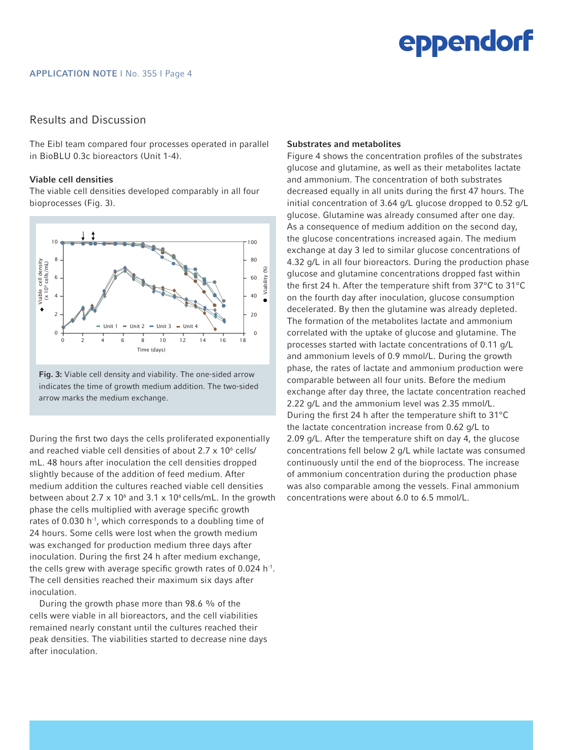

### Results and Discussion

The Eibl team compared four processes operated in parallel in BioBLU 0.3c bioreactors (Unit 1-4).

#### Viable cell densities

The viable cell densities developed comparably in all four bioprocesses (Fig. 3).



Fig. 3: Viable cell density and viability. The one-sided arrow indicates the time of growth medium addition. The two-sided arrow marks the medium exchange.

During the first two days the cells proliferated exponentially and reached viable cell densities of about 2.7  $\times$  10 $^6$  cells/ mL. 48 hours after inoculation the cell densities dropped slightly because of the addition of feed medium. After medium addition the cultures reached viable cell densities between about 2.7  $\times$  10<sup>6</sup> and 3.1  $\times$  10<sup>6</sup> cells/mL. In the growth phase the cells multiplied with average specific growth rates of 0.030 h<sup>-1</sup>, which corresponds to a doubling time of 24 hours. Some cells were lost when the growth medium was exchanged for production medium three days after inoculation. During the first 24 h after medium exchange, the cells grew with average specific growth rates of 0.024 h<sup>-1</sup>. The cell densities reached their maximum six days after inoculation.

During the growth phase more than 98.6 % of the cells were viable in all bioreactors, and the cell viabilities remained nearly constant until the cultures reached their peak densities. The viabilities started to decrease nine days after inoculation.

#### Substrates and metabolites

Figure 4 shows the concentration profiles of the substrates glucose and glutamine, as well as their metabolites lactate and ammonium. The concentration of both substrates decreased equally in all units during the first 47 hours. The initial concentration of 3.64 g/L glucose dropped to 0.52 g/L glucose. Glutamine was already consumed after one day. As a consequence of medium addition on the second day, the glucose concentrations increased again. The medium exchange at day 3 led to similar glucose concentrations of 4.32 g/L in all four bioreactors. During the production phase glucose and glutamine concentrations dropped fast within the first 24 h. After the temperature shift from 37°C to 31°C on the fourth day after inoculation, glucose consumption decelerated. By then the glutamine was already depleted. The formation of the metabolites lactate and ammonium correlated with the uptake of glucose and glutamine. The processes started with lactate concentrations of 0.11 g/L and ammonium levels of 0.9 mmol/L. During the growth phase, the rates of lactate and ammonium production were comparable between all four units. Before the medium exchange after day three, the lactate concentration reached 2.22 g/L and the ammonium level was 2.35 mmol/L. During the first 24 h after the temperature shift to 31°C the lactate concentration increase from 0.62 g/L to 2.09 g/L. After the temperature shift on day 4, the glucose concentrations fell below 2 g/L while lactate was consumed continuously until the end of the bioprocess. The increase of ammonium concentration during the production phase was also comparable among the vessels. Final ammonium concentrations were about 6.0 to 6.5 mmol/L.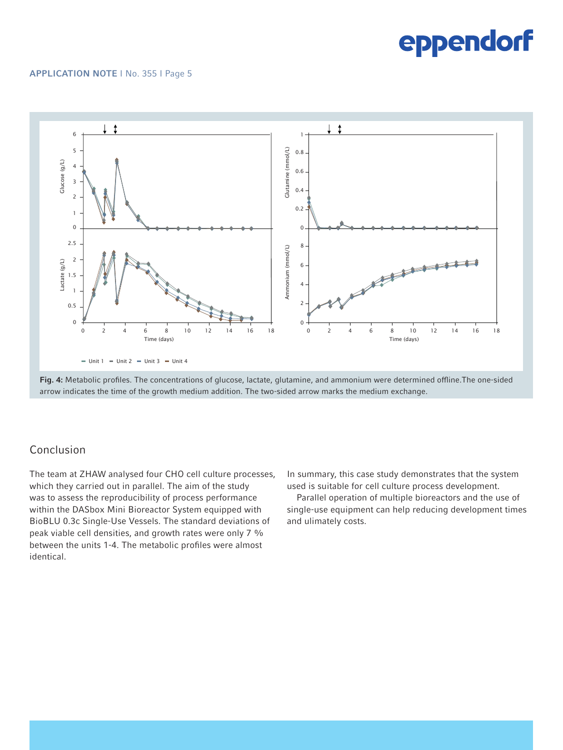#### APPLICATION NOTE I No. 355 I Page 5





### Conclusion

The team at ZHAW analysed four CHO cell culture processes, which they carried out in parallel. The aim of the study was to assess the reproducibility of process performance within the DASbox Mini Bioreactor System equipped with BioBLU 0.3c Single-Use Vessels. The standard deviations of peak viable cell densities, and growth rates were only 7 % between the units 1-4. The metabolic profiles were almost identical.

In summary, this case study demonstrates that the system used is suitable for cell culture process development.

Parallel operation of multiple bioreactors and the use of single-use equipment can help reducing development times and ulimately costs.